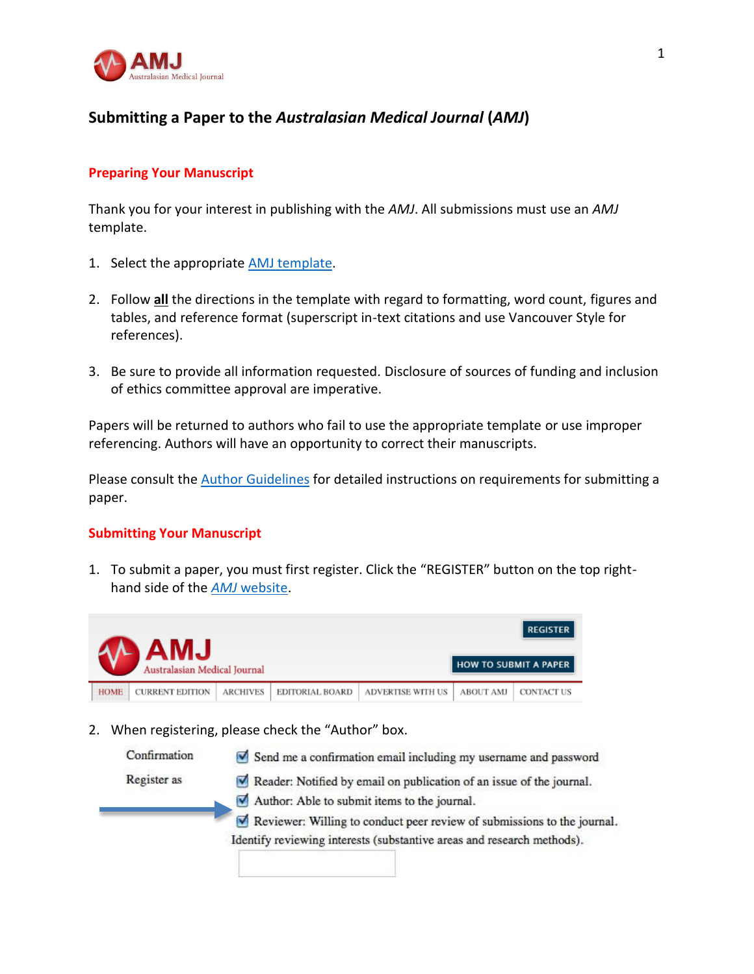

# **Submitting a Paper to the** *Australasian Medical Journal* **(***AMJ***)**

### **Preparing Your Manuscript**

Thank you for your interest in publishing with the *AMJ*. All submissions must use an *AMJ* template.

- 1[.](http://amj.net.au/index.php/AMJ/about/submissions#authorGuidelines) Select the appropriate **AMJ** template.
- 2. Follow **all** the directions in the template with regard to formatting, word count, figures and tables, and reference format (superscript in-text citations and use Vancouver Style for references).
- 3. Be sure to provide all information requested. Disclosure of sources of funding and inclusion of ethics committee approval are imperative.

Papers will be returned to authors who fail to use the appropriate template or use improper referencing. Authors will have an opportunity to correct their manuscripts.

Please consult the **Author Guidelines** [f](http://amj.net.au/index.php/AMJ/about/submissions#authorGuidelines)or detailed instructions on requirements for submitting a paper.

### **Submitting Your Manuscript**

1. To submit a paper, you must first register. Click the "REGISTER" button on the top righthand side of the *AMJ* [website.](http://amj.net.au/index.php?journal=AMJ)

| <b>LMA</b><br>Australasian Medical Journal |                 |                 |                          |                  | <b>REGISTER</b><br>HOW TO SUBMIT A PAPER |
|--------------------------------------------|-----------------|-----------------|--------------------------|------------------|------------------------------------------|
| <b>HOME</b><br><b>CURRENT EDITION</b>      | <b>ARCHIVES</b> | EDITORIAL BOARD | <b>ADVERTISE WITH US</b> | <b>ABOUT AMJ</b> | <b>CONTACT US</b>                        |

2. When registering, please check the "Author" box.

| Confirmation | Send me a confirmation email including my username and password                          |
|--------------|------------------------------------------------------------------------------------------|
| Register as  | Reader: Notified by email on publication of an issue of the journal.                     |
|              | Author: Able to submit items to the journal.                                             |
|              | $\triangleright$ Reviewer: Willing to conduct peer review of submissions to the journal. |
|              | Identify reviewing interests (substantive areas and research methods).                   |
|              |                                                                                          |
|              |                                                                                          |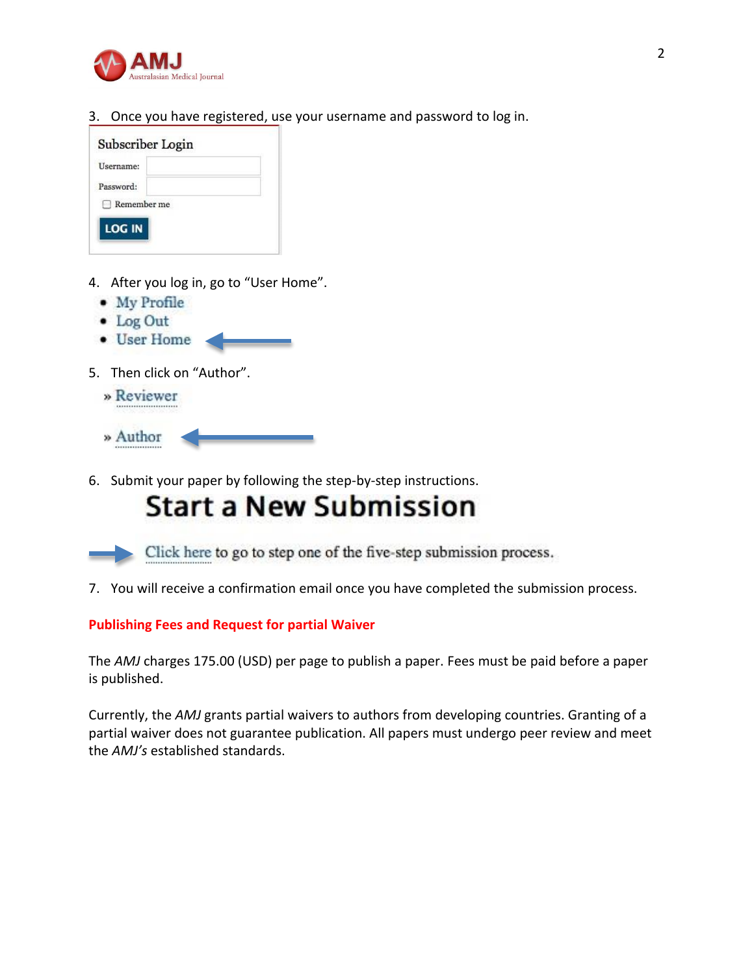

3. Once you have registered, use your username and password to log in.



- 4. After you log in, go to "User Home".
	- My Profile
	- $\bullet$  Log Out
	- User Home
- 5. Then click on "Author".
	- » Reviewer
	- » Author
- 6. Submit your paper by following the step-by-step instructions.

# **Start a New Submission**



7. You will receive a confirmation email once you have completed the submission process.

### **Publishing Fees and Request for partial Waiver**

The *AMJ* charges 175.00 (USD) per page to publish a paper. Fees must be paid before a paper is published.

Currently, the *AMJ* grants partial waivers to authors from developing countries. Granting of a partial waiver does not guarantee publication. All papers must undergo peer review and meet the *AMJ's* established standards.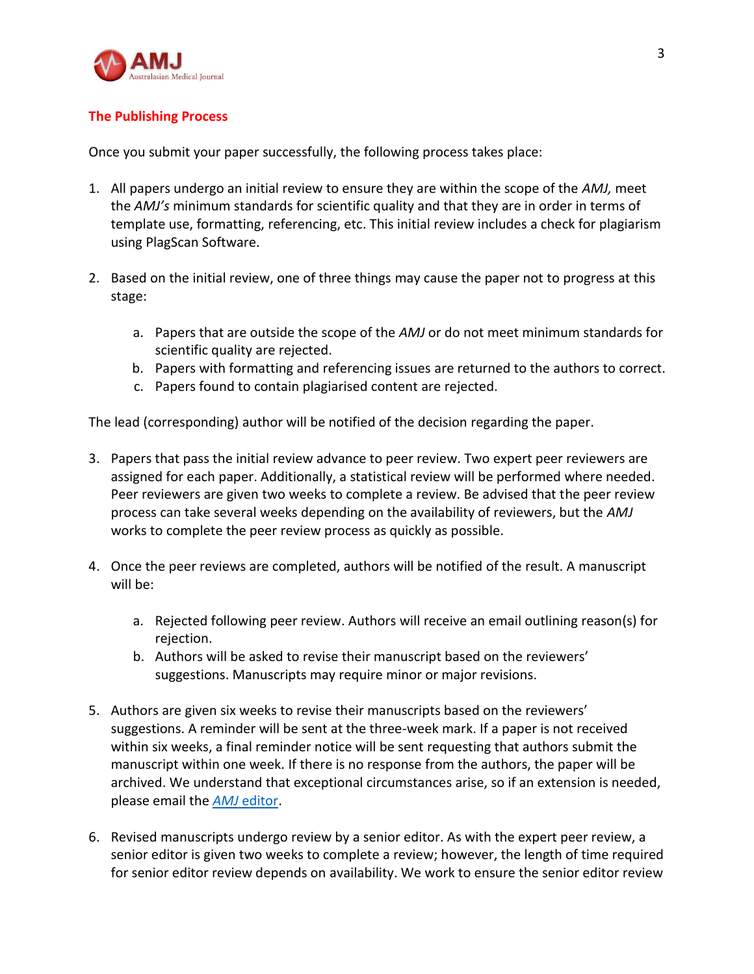

# **The Publishing Process**

Once you submit your paper successfully, the following process takes place:

- 1. All papers undergo an initial review to ensure they are within the scope of the *AMJ,* meet the *AMJ's* minimum standards for scientific quality and that they are in order in terms of template use, formatting, referencing, etc. This initial review includes a check for plagiarism using PlagScan Software.
- 2. Based on the initial review, one of three things may cause the paper not to progress at this stage:
	- a. Papers that are outside the scope of the *AMJ* or do not meet minimum standards for scientific quality are rejected.
	- b. Papers with formatting and referencing issues are returned to the authors to correct.
	- c. Papers found to contain plagiarised content are rejected.

The lead (corresponding) author will be notified of the decision regarding the paper.

- 3. Papers that pass the initial review advance to peer review. Two expert peer reviewers are assigned for each paper. Additionally, a statistical review will be performed where needed. Peer reviewers are given two weeks to complete a review. Be advised that the peer review process can take several weeks depending on the availability of reviewers, but the *AMJ* works to complete the peer review process as quickly as possible.
- 4. Once the peer reviews are completed, authors will be notified of the result. A manuscript will be:
	- a. Rejected following peer review. Authors will receive an email outlining reason(s) for rejection.
	- b. Authors will be asked to revise their manuscript based on the reviewers' suggestions. Manuscripts may require minor or major revisions.
- 5. Authors are given six weeks to revise their manuscripts based on the reviewers' suggestions. A reminder will be sent at the three-week mark. If a paper is not received within six weeks, a final reminder notice will be sent requesting that authors submit the manuscript within one week. If there is no response from the authors, the paper will be archived. We understand that exceptional circumstances arise, so if an extension is needed, please email the *AMJ* [editor.](mailto:editor@amj.net.au)
- 6. Revised manuscripts undergo review by a senior editor. As with the expert peer review, a senior editor is given two weeks to complete a review; however, the length of time required for senior editor review depends on availability. We work to ensure the senior editor review